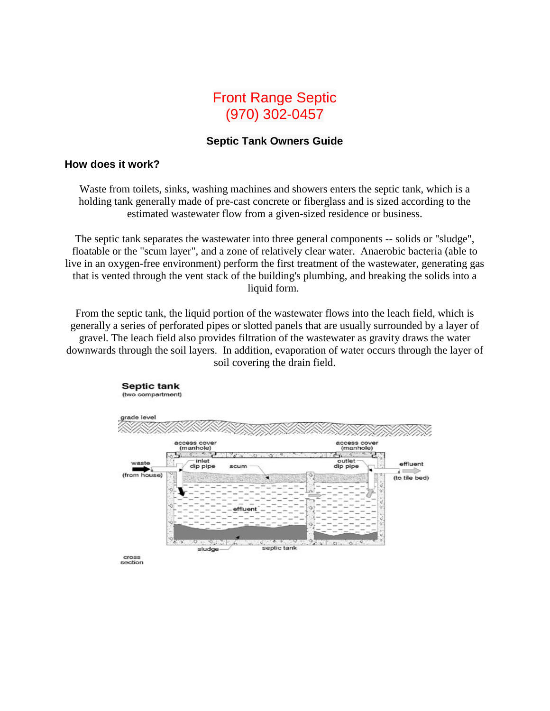## Front Range Septic (970) 302-0457

## **Septic Tank Owners Guide**

## **How does it work?**

Waste from toilets, sinks, washing machines and showers enters the septic tank, which is a holding tank generally made of pre-cast concrete or fiberglass and is sized according to the estimated wastewater flow from a given-sized residence or business.

The septic tank separates the wastewater into three general components -- solids or "sludge", floatable or the "scum layer", and a zone of relatively clear water. Anaerobic bacteria (able to live in an oxygen-free environment) perform the first treatment of the wastewater, generating gas that is vented through the vent stack of the building's plumbing, and breaking the solids into a liquid form.

From the septic tank, the liquid portion of the wastewater flows into the leach field, which is generally a series of perforated pipes or slotted panels that are usually surrounded by a layer of gravel. The leach field also provides filtration of the wastewater as gravity draws the water downwards through the soil layers. In addition, evaporation of water occurs through the layer of soil covering the drain field.



section

**Septic tank** (two compartment)